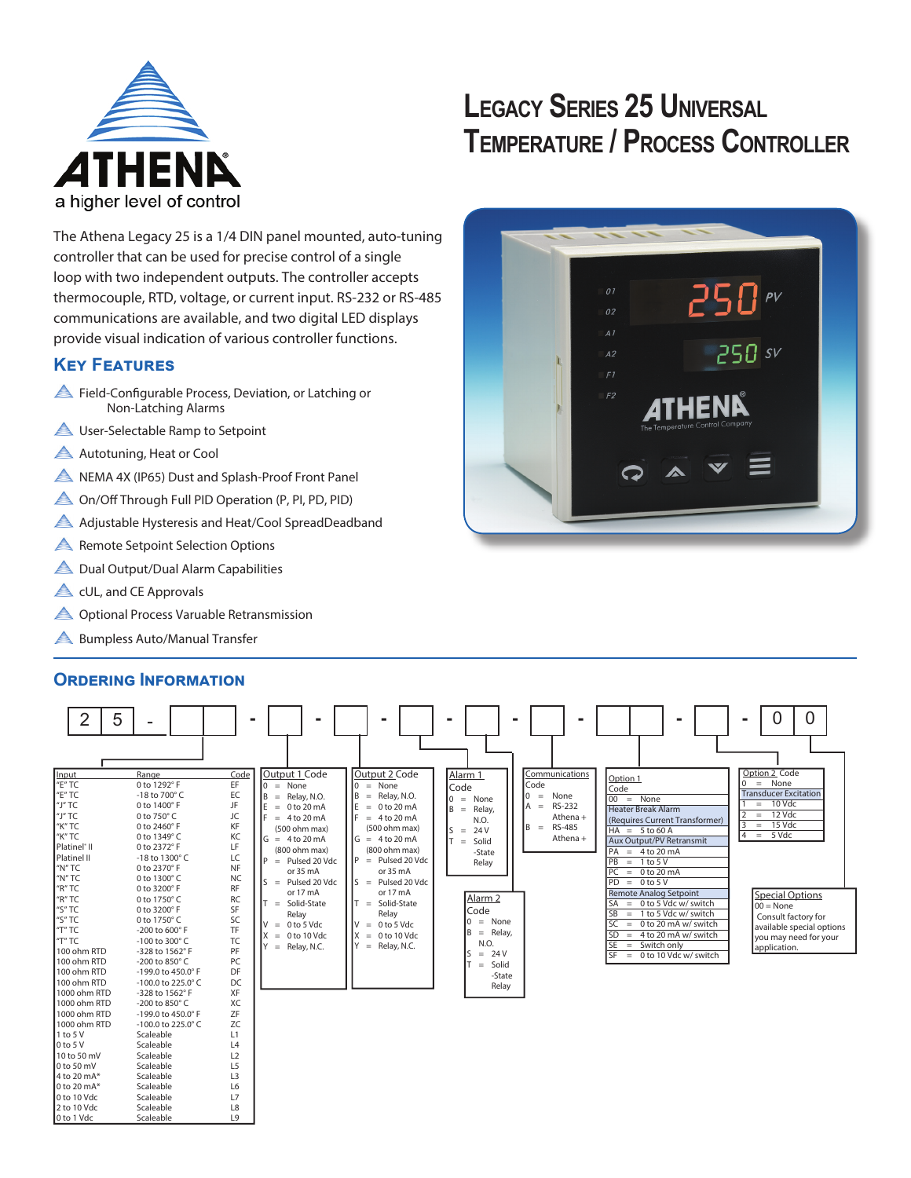

# **LEGACY SERIES 25 UNIVERSAL TEMPERATURE / PROCESS CONTROLLER**

The Athena Legacy 25 is a 1/4 DIN panel mounted, auto-tuning controller that can be used for precise control of a single loop with two independent outputs. The controller accepts thermocouple, RTD, voltage, or current input. RS-232 or RS-485 communications are available, and two digital LED displays provide visual indication of various controller functions.

# **Key Features**

- Field-Configurable Process, Deviation, or Latching or Non-Latching Alarms
- **A** User-Selectable Ramp to Setpoint
- Autotuning, Heat or Cool
- A NEMA 4X (IP65) Dust and Splash-Proof Front Panel
- On/Off Through Full PID Operation (P, PI, PD, PID)
- Adjustable Hysteresis and Heat/Cool SpreadDeadband
- **A** Remote Setpoint Selection Options
- **A** Dual Output/Dual Alarm Capabilities
- **A** cUL, and CE Approvals
- **A** Optional Process Varuable Retransmission
- **A** Bumpless Auto/Manual Transfer

# **OrDering Information**

| 2                          | 5<br>$\overline{\phantom{0}}$       | -              |                                           |                             |                    |                        |                                          | 0<br>0                          |
|----------------------------|-------------------------------------|----------------|-------------------------------------------|-----------------------------|--------------------|------------------------|------------------------------------------|---------------------------------|
| Input<br>"E" TC            | Range<br>0 to 1292°F                | Code<br>EF     | Output 1 Code<br>$\vert 0 \rangle$ = None | Output 2 Code<br>$0 = None$ | Alarm 1            | Communications<br>Code | Option 1                                 | Option 2 Code<br>0<br>$=$ None  |
| "E" TC                     | -18 to $700^{\circ}$ C              | EC             | IB.<br>$=$ Relay, N.O.                    | $=$ Relay, N.O.<br>lΒ       | Code               | lo.<br>None<br>$=$     | Code                                     | <b>Transducer Excitation</b>    |
| l"J" TC                    | 0 to 1400°F                         | JF             | IE.<br>$= 0$ to 20 mA                     | IE.<br>$= 0$ to 20 mA       | $0 = None$         | RS-232<br>$A =$        | $00 = None$                              | 10 Vdc<br>$=$ $\,$              |
| "J"TC                      | 0 to 750°C                          | JC             | I۴<br>$= 4$ to 20 mA                      | IF<br>$= 4$ to 20 mA        | $B =$ Relay,       | Athena +               | <b>Heater Break Alarm</b>                | 12 Vdc<br>$=$                   |
| "K" TC                     | 0 to 2460°F                         | KF             | (500 ohm max)                             | (500 ohm max)               | N.O.               | RS-485<br>$B =$        | (Requires Current Transformer)           | 15 Vdc<br>3<br>$=$              |
| "K" TC                     | 0 to 1349°C                         | KC             | $\sqrt{G} = 4 \text{ to } 20 \text{ mA}$  | $G = 4 to 20 mA$            | 24 V<br>$S =$      | Athena +               | $HA = 5 to 60 A$                         | 4<br>5 Vdc<br>$\equiv$          |
| Platinel <sup>®</sup> II   | 0 to 2372°F                         | LF             | (800 ohm max)                             | (800 ohm max)               | Solid<br>$T =$     |                        | <b>Aux Output/PV Retransmit</b>          |                                 |
| Platinel II                | -18 to 1300°C                       | LC             | IP.<br>$=$ Pulsed 20 Vdc                  | $P =$ Pulsed 20 Vdc         | -State             |                        | $PA = 4 to 20 mA$<br>PB<br>$= 1$ to 5 V  |                                 |
| "N"TC                      | 0 to 2370° F                        | NF             | or 35 mA                                  | or 35 mA                    | Relav              |                        | PC<br>$= 0$ to 20 mA                     |                                 |
| "N" TC                     | 0 to 1300°C                         | <b>NC</b>      | $S =$ Pulsed 20 Vdc                       | $S =$ Pulsed 20 Vdc         |                    |                        | $PD = 0 to 5 V$                          |                                 |
| "R" TC                     | 0 to 3200° F                        | <b>RF</b>      | or 17 mA                                  | or 17 mA                    |                    |                        | <b>Remote Analog Setpoint</b>            |                                 |
| "R" TC                     | 0 to 1750°C                         | <b>RC</b>      | $=$ Solid-State                           | $=$ Solid-State             | Alarm <sub>2</sub> |                        | $SA = 0$ to 5 Vdc w/ switch              | Special Options<br>$100 = None$ |
| "S" TC                     | 0 to 3200° F                        | SF             | Relay                                     | Relay                       | Code               |                        | <b>SB</b><br>$= 1$ to 5 Vdc w/ switch    | Consult factory for             |
| "S" TC                     | 0 to 1750°C                         | SC             | $= 0$ to 5 Vdc<br>Ιv                      | $= 0$ to 5 Vdc              | $0 = None$         |                        | <b>SC</b><br>0 to 20 mA w/ switch<br>$=$ | available special options       |
| "T" TC                     | -200 to 600° F                      | <b>TF</b>      | $= 0$ to 10 Vdc                           | $= 0$ to 10 Vdc<br>Iχ       | B<br>$=$ Relay,    |                        | <b>SD</b><br>4 to 20 mA w/ switch<br>$=$ | you may need for your           |
| "T" TC                     | -100 to 300°C                       | <b>TC</b>      | $Y = Relay, N.C.$                         | $=$ Relay, N.C.             | N.O.               |                        | $=$ Switch only<br><b>SE</b>             | application.                    |
| 100 ohm RTD                | -328 to 1562°F                      | PF             |                                           |                             | $= 24 V$<br>S      |                        | <b>SF</b><br>$= 0$ to 10 Vdc w/ switch   |                                 |
| 100 ohm RTD                | -200 to 850°C                       | PC             |                                           |                             | Solid<br>$=$       |                        |                                          |                                 |
| 100 ohm RTD<br>100 ohm RTD | -199.0 to 450.0° F                  | DF<br>DC       |                                           |                             | -State             |                        |                                          |                                 |
| 1000 ohm RTD               | -100.0 to 225.0°C<br>-328 to 1562°F | XF             |                                           |                             | Relay              |                        |                                          |                                 |
| 1000 ohm RTD               | -200 to 850°C                       | XC             |                                           |                             |                    |                        |                                          |                                 |
| 1000 ohm RTD               | -199.0 to 450.0° F                  | ZF             |                                           |                             |                    |                        |                                          |                                 |
| 1000 ohm RTD               | $-100.0$ to 225.0 $^{\circ}$ C      | ZC             |                                           |                             |                    |                        |                                          |                                 |
| 1 to 5 V                   | Scaleable                           | L1             |                                           |                             |                    |                        |                                          |                                 |
| $0$ to 5 V                 | Scaleable                           | L4             |                                           |                             |                    |                        |                                          |                                 |
| 10 to 50 mV                | Scaleable                           | L2             |                                           |                             |                    |                        |                                          |                                 |
| 0 to 50 mV                 | Scaleable                           | L5             |                                           |                             |                    |                        |                                          |                                 |
| 4 to 20 mA*                | Scaleable                           | L <sub>3</sub> |                                           |                             |                    |                        |                                          |                                 |
| 0 to 20 mA*                | Scaleable                           | L6             |                                           |                             |                    |                        |                                          |                                 |
| 0 to 10 Vdc                | Scaleable                           | L7             |                                           |                             |                    |                        |                                          |                                 |
| 2 to 10 Vdc                | Scaleable                           | L8             |                                           |                             |                    |                        |                                          |                                 |
| 0 to 1 Vdc                 | Scaleable                           | L <sub>9</sub> |                                           |                             |                    |                        |                                          |                                 |